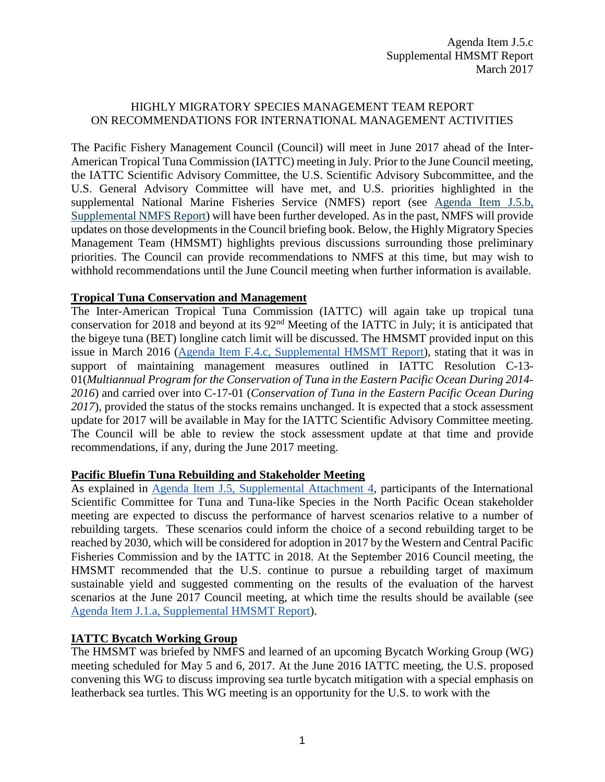## HIGHLY MIGRATORY SPECIES MANAGEMENT TEAM REPORT ON RECOMMENDATIONS FOR INTERNATIONAL MANAGEMENT ACTIVITIES

The Pacific Fishery Management Council (Council) will meet in June 2017 ahead of the Inter-American Tropical Tuna Commission (IATTC) meeting in July. Prior to the June Council meeting, the IATTC Scientific Advisory Committee, the U.S. Scientific Advisory Subcommittee, and the U.S. General Advisory Committee will have met, and U.S. priorities highlighted in the supplemental National Marine Fisheries Service (NMFS) report (see [Agenda Item J.5.b,](http://www.pcouncil.org/wp-content/uploads/2017/03/J5b_Sup_NMFS_Rpt_Intl.pdf)  [Supplemental NMFS Report\)](http://www.pcouncil.org/wp-content/uploads/2017/03/J5b_Sup_NMFS_Rpt_Intl.pdf) will have been further developed. As in the past, NMFS will provide updates on those developments in the Council briefing book. Below, the Highly Migratory Species Management Team (HMSMT) highlights previous discussions surrounding those preliminary priorities. The Council can provide recommendations to NMFS at this time, but may wish to withhold recommendations until the June Council meeting when further information is available.

## **Tropical Tuna Conservation and Management**

The Inter-American Tropical Tuna Commission (IATTC) will again take up tropical tuna conservation for 2018 and beyond at its 92nd Meeting of the IATTC in July; it is anticipated that the bigeye tuna (BET) longline catch limit will be discussed. The HMSMT provided input on this issue in March 2016 [\(Agenda Item F.4.c, Supplemental HMSMT Report\)](http://www.pcouncil.org/wp-content/uploads/2016/03/F4c_Sup_HMSMT_Rpt_MAR2016BB.pdf), stating that it was in support of maintaining management measures outlined in IATTC Resolution C-13- 01(*Multiannual Program for the Conservation of Tuna in the Eastern Pacific Ocean During 2014- 2016*) and carried over into C-17-01 (*Conservation of Tuna in the Eastern Pacific Ocean During 2017*), provided the status of the stocks remains unchanged. It is expected that a stock assessment update for 2017 will be available in May for the IATTC Scientific Advisory Committee meeting. The Council will be able to review the stock assessment update at that time and provide recommendations, if any, during the June 2017 meeting.

## **Pacific Bluefin Tuna Rebuilding and Stakeholder Meeting**

As explained in [Agenda Item J.5, Supplemental Attachment 4,](http://www.pcouncil.org/wp-content/uploads/2017/03/J5_Sup_Att4_FirstAnncmt_ISC_MtgSched_Stakeholders_Mar2017BB.pdf) participants of the International Scientific Committee for Tuna and Tuna-like Species in the North Pacific Ocean stakeholder meeting are expected to discuss the performance of harvest scenarios relative to a number of rebuilding targets. These scenarios could inform the choice of a second rebuilding target to be reached by 2030, which will be considered for adoption in 2017 by the Western and Central Pacific Fisheries Commission and by the IATTC in 2018. At the September 2016 Council meeting, the HMSMT recommended that the U.S. continue to pursue a rebuilding target of maximum sustainable yield and suggested commenting on the results of the evaluation of the harvest scenarios at the June 2017 Council meeting, at which time the results should be available (see [Agenda Item J.1.a, Supplemental HMSMT Report\)](http://www.pcouncil.org/wp-content/uploads/2016/09/J1a_Sup_HMSMT_Rpt_Intl_SEPT2016BB.pdf).

## **IATTC Bycatch Working Group**

The HMSMT was briefed by NMFS and learned of an upcoming Bycatch Working Group (WG) meeting scheduled for May 5 and 6, 2017. At the June 2016 IATTC meeting, the U.S. proposed convening this WG to discuss improving sea turtle bycatch mitigation with a special emphasis on leatherback sea turtles. This WG meeting is an opportunity for the U.S. to work with the